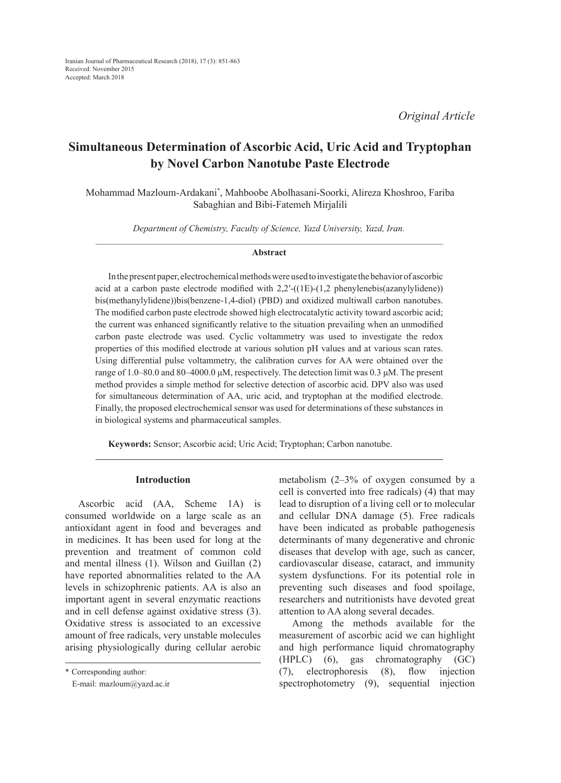# **Simultaneous Determination of Ascorbic Acid, Uric Acid and Tryptophan by Novel Carbon Nanotube Paste Electrode**

Mohammad Mazloum-Ardakani\* , Mahboobe Abolhasani-Soorki, Alireza Khoshroo, Fariba Sabaghian and Bibi-Fatemeh Mirjalili

*Department of Chemistry, Faculty of Science, Yazd University, Yazd, Iran.*

#### **Abstract**

In the present paper, electrochemical methods were used to investigate the behavior of ascorbic acid at a carbon paste electrode modified with  $2.2'$ -((1E)-(1,2 phenylenebis(azanylylidene)) bis(methanylylidene))bis(benzene-1,4-diol) (PBD) and oxidized multiwall carbon nanotubes. The modified carbon paste electrode showed high electrocatalytic activity toward ascorbic acid; the current was enhanced significantly relative to the situation prevailing when an unmodified carbon paste electrode was used. Cyclic voltammetry was used to investigate the redox properties of this modified electrode at various solution pH values and at various scan rates. Using differential pulse voltammetry, the calibration curves for AA were obtained over the range of 1.0–80.0 and 80–4000.0 μM, respectively. The detection limit was 0.3 μM. The present method provides a simple method for selective detection of ascorbic acid. DPV also was used for simultaneous determination of AA, uric acid, and tryptophan at the modified electrode. Finally, the proposed electrochemical sensor was used for determinations of these substances in in biological systems and pharmaceutical samples.

**Keywords:** Sensor; Ascorbic acid; Uric Acid; Tryptophan; Carbon nanotube.

#### **Introduction**

Ascorbic acid (AA, Scheme 1A) is consumed worldwide on a large scale as an antioxidant agent in food and beverages and in medicines. It has been used for long at the prevention and treatment of common cold and mental illness (1). Wilson and Guillan (2) have reported abnormalities related to the AA levels in schizophrenic patients. AA is also an important agent in several enzymatic reactions and in cell defense against oxidative stress (3). Oxidative stress is associated to an excessive amount of free radicals, very unstable molecules arising physiologically during cellular aerobic

\* Corresponding author:

E-mail: mazloum@yazd.ac.ir

metabolism (2–3% of oxygen consumed by a cell is converted into free radicals) (4) that may lead to disruption of a living cell or to molecular and cellular DNA damage (5). Free radicals have been indicated as probable pathogenesis determinants of many degenerative and chronic diseases that develop with age, such as cancer, cardiovascular disease, cataract, and immunity system dysfunctions. For its potential role in preventing such diseases and food spoilage, researchers and nutritionists have devoted great attention to AA along several decades.

Among the methods available for the measurement of ascorbic acid we can highlight and high performance liquid chromatography (HPLC) (6), gas chromatography (GC) (7), electrophoresis (8), flow injection spectrophotometry (9), sequential injection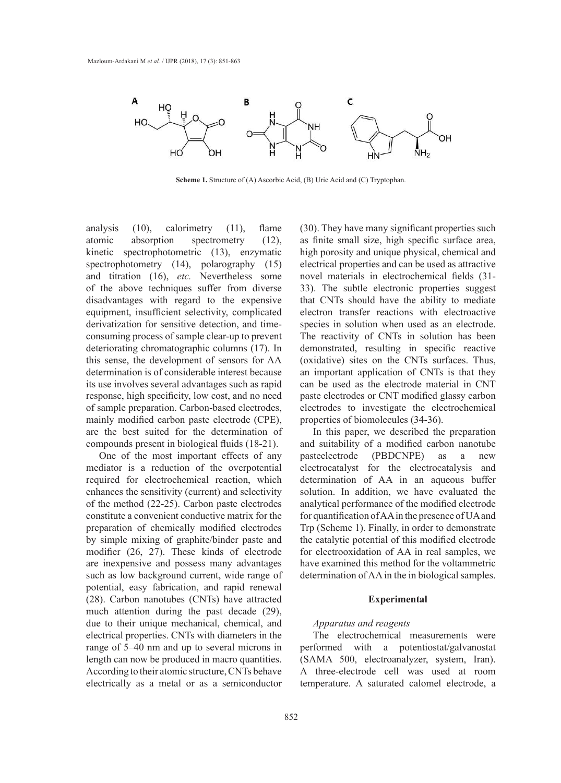

**Scheme 1.** Structure of (A) Ascorbic Acid, (B) Uric Acid and (C) Tryptophan.

analysis (10), calorimetry (11), flame atomic absorption spectrometry (12), kinetic spectrophotometric (13), enzymatic spectrophotometry (14), polarography (15) and titration (16), *etc.* Nevertheless some of the above techniques suffer from diverse disadvantages with regard to the expensive equipment, insufficient selectivity, complicated derivatization for sensitive detection, and timeconsuming process of sample clear-up to prevent deteriorating chromatographic columns (17). In this sense, the development of sensors for AA determination is of considerable interest because its use involves several advantages such as rapid response, high specificity, low cost, and no need of sample preparation. Carbon-based electrodes, mainly modified carbon paste electrode (CPE), are the best suited for the determination of compounds present in biological fluids (18-21).

One of the most important effects of any mediator is a reduction of the overpotential required for electrochemical reaction, which enhances the sensitivity (current) and selectivity of the method (22-25). Carbon paste electrodes constitute a convenient conductive matrix for the preparation of chemically modified electrodes by simple mixing of graphite/binder paste and modifier (26, 27). These kinds of electrode are inexpensive and possess many advantages such as low background current, wide range of potential, easy fabrication, and rapid renewal (28). Carbon nanotubes (CNTs) have attracted much attention during the past decade (29), due to their unique mechanical, chemical, and electrical properties. CNTs with diameters in the range of 5–40 nm and up to several microns in length can now be produced in macro quantities. According to their atomic structure, CNTs behave electrically as a metal or as a semiconductor

(30). They have many significant properties such as finite small size, high specific surface area, high porosity and unique physical, chemical and electrical properties and can be used as attractive novel materials in electrochemical fields (31- 33). The subtle electronic properties suggest that CNTs should have the ability to mediate electron transfer reactions with electroactive species in solution when used as an electrode. The reactivity of CNTs in solution has been demonstrated, resulting in specific reactive (oxidative) sites on the CNTs surfaces. Thus, an important application of CNTs is that they can be used as the electrode material in CNT paste electrodes or CNT modified glassy carbon electrodes to investigate the electrochemical properties of biomolecules (34-36).

In this paper, we described the preparation and suitability of a modified carbon nanotube pasteelectrode (PBDCNPE) as a new electrocatalyst for the electrocatalysis and determination of AA in an aqueous buffer solution. In addition, we have evaluated the analytical performance of the modified electrode for quantification of AA in the presence of UA and Trp (Scheme 1). Finally, in order to demonstrate the catalytic potential of this modified electrode for electrooxidation of AA in real samples, we have examined this method for the voltammetric determination of AA in the in biological samples.

## **Experimental**

#### *Apparatus and reagents*

The electrochemical measurements were performed with a potentiostat/galvanostat (SAMA 500, electroanalyzer, system, Iran). A three-electrode cell was used at room temperature. A saturated calomel electrode, a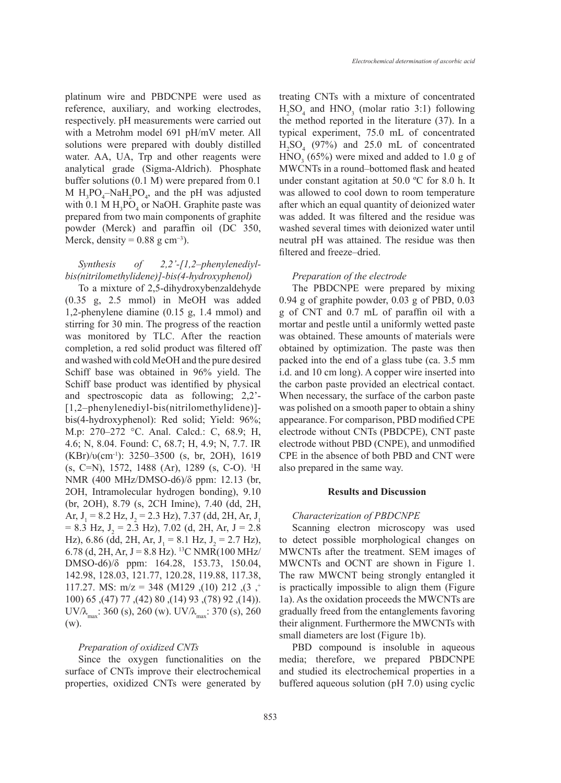platinum wire and PBDCNPE were used as reference, auxiliary, and working electrodes, respectively. pH measurements were carried out with a Metrohm model 691 pH/mV meter. All solutions were prepared with doubly distilled water. AA, UA, Trp and other reagents were analytical grade (Sigma-Aldrich). Phosphate buffer solutions (0.1 M) were prepared from 0.1 M  $H_3PO_4$ -Na $H_2PO_4$ , and the pH was adjusted with  $0.1 M H_3PO_4$  or NaOH. Graphite paste was prepared from two main components of graphite powder (Merck) and paraffin oil (DC 350, Merck, density =  $0.88$  g cm<sup>-3</sup>).

## *Synthesis of 2,2'-[1,2–phenylenediylbis(nitrilomethylidene)]-bis(4-hydroxyphenol)*

To a mixture of 2,5-dihydroxybenzaldehyde (0.35 g, 2.5 mmol) in MeOH was added 1,2-phenylene diamine (0.15 g, 1.4 mmol) and stirring for 30 min. The progress of the reaction was monitored by TLC. After the reaction completion, a red solid product was filtered off and washed with cold MeOH and the pure desired Schiff base was obtained in 96% yield. The Schiff base product was identified by physical and spectroscopic data as following; 2,2'- [1,2–phenylenediyl-bis(nitrilomethylidene)] bis(4-hydroxyphenol): Red solid; Yield: 96%; M.p: 270–272 °C. Anal. Calcd.: C, 68.9; H, 4.6; N, 8.04. Found: C, 68.7; H, 4.9; N, 7.7. IR  $(KBr)/v(cm^{-1})$ : 3250–3500 (s, br, 2OH), 1619 (s, C=N), 1572, 1488 (Ar), 1289 (s, C-O). 1 H NMR (400 MHz/DMSO-d6)/δ ppm: 12.13 (br, 2OH, Intramolecular hydrogen bonding), 9.10 (br, 2OH), 8.79 (s, 2CH Imine), 7.40 (dd, 2H, Ar,  $J_1 = 8.2$  Hz,  $J_2 = 2.3$  Hz), 7.37 (dd, 2H, Ar,  $J_1$  $= 8.3$  Hz,  $J_2 = 2.3$  Hz), 7.02 (d, 2H, Ar, J = 2.8 Hz), 6.86 (dd, 2H, Ar,  $J_1 = 8.1$  Hz,  $J_2 = 2.7$  Hz), 6.78 (d, 2H, Ar, J = 8.8 Hz). <sup>13</sup>C NMR(100 MHz/ DMSO-d6)/δ ppm: 164.28, 153.73, 150.04, 142.98, 128.03, 121.77, 120.28, 119.88, 117.38, 117.27. MS: m/z = 348 (M129 ,(10) 212 ,(3 ,+ 100) 65, (47) 77, (42) 80, (14) 93, (78) 92, (14)).  $UV/\lambda_{\text{max}}$ : 360 (s), 260 (w).  $UV/\lambda_{\text{max}}$ : 370 (s), 260 (w).

## *Preparation of oxidized CNTs*

Since the oxygen functionalities on the surface of CNTs improve their electrochemical properties, oxidized CNTs were generated by treating CNTs with a mixture of concentrated  $H_2SO_4$  and  $HNO_3$  (molar ratio 3:1) following the method reported in the literature (37). In a typical experiment, 75.0 mL of concentrated  $H<sub>2</sub>SO<sub>4</sub>$  (97%) and 25.0 mL of concentrated  $HNO<sub>3</sub>$  (65%) were mixed and added to 1.0 g of MWCNTs in a round–bottomed flask and heated under constant agitation at 50.0 ºC for 8.0 h. It was allowed to cool down to room temperature after which an equal quantity of deionized water was added. It was filtered and the residue was washed several times with deionized water until neutral pH was attained. The residue was then filtered and freeze–dried.

#### *Preparation of the electrode*

The PBDCNPE were prepared by mixing 0.94 g of graphite powder, 0.03 g of PBD, 0.03 g of CNT and 0.7 mL of paraffin oil with a mortar and pestle until a uniformly wetted paste was obtained. These amounts of materials were obtained by optimization. The paste was then packed into the end of a glass tube (ca. 3.5 mm i.d. and 10 cm long). A copper wire inserted into the carbon paste provided an electrical contact. When necessary, the surface of the carbon paste was polished on a smooth paper to obtain a shiny appearance. For comparison, PBD modified CPE electrode without CNTs (PBDCPE), CNT paste electrode without PBD (CNPE), and unmodified CPE in the absence of both PBD and CNT were also prepared in the same way.

## **Results and Discussion**

#### *Characterization of PBDCNPE*

Scanning electron microscopy was used to detect possible morphological changes on MWCNTs after the treatment. SEM images of MWCNTs and OCNT are shown in Figure 1. The raw MWCNT being strongly entangled it is practically impossible to align them (Figure 1a). As the oxidation proceeds the MWCNTs are gradually freed from the entanglements favoring their alignment. Furthermore the MWCNTs with small diameters are lost (Figure 1b).

PBD compound is insoluble in aqueous media; therefore, we prepared PBDCNPE and studied its electrochemical properties in a buffered aqueous solution (pH 7.0) using cyclic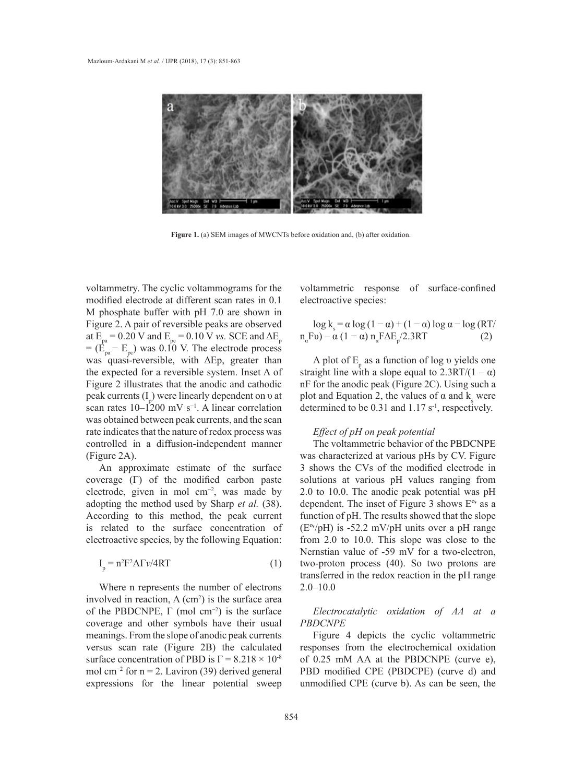

**Figure 1.** (a) SEM images of MWCNTs before oxidation and, (b) after oxidation. **Figure 1.** (a) SEM images of MWCNTs before oxidation and, (b) after oxidation.

voltammetry. The cyclic voltammograms for the modified electrode at different scan rates in 0.1 electroactive species: M phosphate buffer with  $pH$  7.0 are shown in Figure 2. A pair of reversible peaks are observed at  $E_{pa}$  = 0.20 V and  $E_{pc}$  = 0.10 V *vs*. SCE and  $\Delta E_{p}$  $= (E_{pa} - E_{pc})$  was 0.10 V. The electrode process was quasi-reversible, with ΔEp, greater than the expected for a reversible system. Inset A of straight line with a slope equal to  $2.3RT/(1 - \alpha)$ Figure 2 illustrates that the anodic and cathodic peak currents  $(I_p)$  were linearly dependent on *v* at plot and Equation 2, the values of  $\alpha$  and  $k_s$  were scan rates  $10-1200$  mV s<sup>−1</sup>. A linear correlation was obtained between peak currents, and the scan rate indicates that the nature of redox process was Effect of pH on peak potential controlled in a diffusion-independent manner (Figure 2A). at  $\overline{E} = 0.20 \text{ V}$  and  $\overline{E} = 0.10 \text{ V}$  vs. SCE and  $\Delta E$  n Fu) –  $\alpha (1 - \alpha)$  n F $\Delta E / 2.3RT$  (2)  $-(E_{pa} - E_{po})$  was 0.10 V. The electrode process<br> $E_{pa}$  and assembly with AEp anoden than  $A$  alot of E and function of local violations

An approximate estimate of the surface coverage (Γ) of the modified carbon paste coverage (1) of the modified carbon paste<br>electrode, given in mol cm<sup>-2</sup>, was made by adopting the method used by Sharp *et al.* (38). According to this method, the peak current is related to the surface concentration of electroactive species, by the following Equation:

$$
I_p = n^2 F^2 A \Gamma \nu / 4RT \tag{1}
$$

Where n represents the number of electrons involved in reaction,  $A$  (cm<sup>2</sup>) is the surface area of the PBDCNPE,  $\Gamma$  (mol cm<sup>-2</sup>) is the surface the FBDCNPE, Γ (mol cm−) is the surface correctionally the coverage and other symbols have their usual *PBDCNPE* versus scan rate (Figure 2B) the calculated surface concentration of PBD is  $\Gamma = 8.218 \times 10^{-8}$ mol cm<sup>-2</sup> for n = 2. Laviron (39) derived general expressions for the linear potential sweep

voltammetric response of surface-confined electroactive species:

$$
\log k_s = \alpha \log (1 - \alpha) + (1 - \alpha) \log \alpha - \log (RT/n \cdot Fv) - \alpha (1 - \alpha) n_{\alpha} F\Delta E_p / 2.3RT \tag{2}
$$

A plot of  $E_p$  as a function of log v yields one straight line with a slope equal to  $2.3RT/(1 - \alpha)$ nF for the anodic peak (Figure 2C). Using such a plot and Equation 2, the values of  $\alpha$  and  $k_s$  were A linear correlation determined to be  $0.31$  and  $1.17$  s<sup>-1</sup>, respectively.

## *Effect of pH on peak potential*

The voltammetric behavior of the PBDCNPE was characterized at various pHs by CV. Figure An approximate estimate of the surface 3 shows the CVs of the modified electrode in solutions at various pH values ranging from in mol  $\text{cm}^{-2}$ , was made by  $\qquad 2.0 \text{ to } 10.0$ . The anodic peak potential was pH adopting the method used by Sharp *et al.* (38). dependent. The inset of Figure 3 shows  $E^{\circ}$  as a function of pH. The results showed that the slope  $(E^{\circ}/pH)$  is -52.2 mV/pH units over a pH range from 2.0 to 10.0. This slope was close to the Nernstian value of -59 mV for a two-electron,  $2A\Gamma v/4RT$  (1) two-proton process (40). So two protons are transferred in the redox reaction in the pH range 2.0–10.0

## *Electrocatalytic oxidation of AA at a PBDCNPE*

meanings. From the slope of anodic peak currents Figure 4 depicts the cyclic voltammetric Figure 4 depicts the cyclic voltammetric responses from the electrochemical oxidation surface concentration of PBD is  $\Gamma = 8.218 \times 10^{-8}$  of 0.25 mM AA at the PBDCNPE (curve e), PBD modified CPE (PBDCPE) (curve d) and unmodified CPE (curve b). As can be seen, the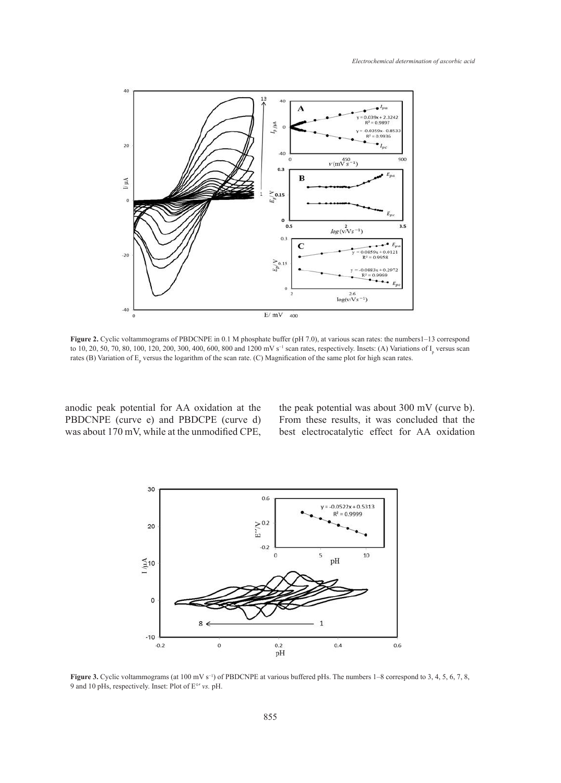

to 10, 20, 50, 70, 80, 100, 120, 200, 300, 400, 600, 800 and 1200 mV s<sup>-1</sup> scan rates, respectively. Insets: (A) Variations of  $I_p$  versus scan rates (B) Variation of  $E_p$  versus the logarithm of the scan rate. (C) Magnification of the same plot for high scan rates. **Figure 2.** Cyclic voltammograms of PBDCNPE in 0.1 M phosphate buffer (pH 7.0), at various scan rates: the numbers1–13 correspond

anodic peak potential for AA oxidation at the PBDCNPE (curve e) and PBDCPE (curve d) From these results, it was concluded that was about 170 mV, while at the unmodified CPE,

the peak potential was about 300 mV (curve b). From these results, it was concluded that the best electrocatalytic effect for AA oxidation anodic peak potential for AA oxidation at the the peak potential was about 300 mV (curve



9 and 10 pHs, respectively. Inset: Plot of E°′ *vs.* pH. **Figure 3.** Cyclic voltammograms (at 100 mV s−1) of PBDCNPE at various buffered pHs. The numbers 1–8 correspond to 3, 4, 5, 6, 7, 8,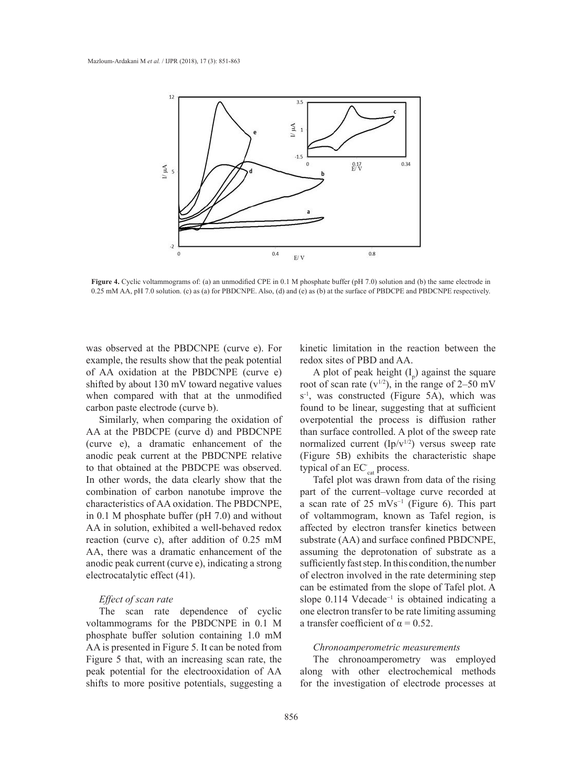

Figure 4. Cyclic voltammograms of: (a) an unmodified CPE in 0.1 M phosphate buffer (pH 7.0) solution and (b) the same electrode in 0.25 mM AA, pH 7.0 solution. (c) as (a) for PBDCNPE. Also, (d) and (e) as (b) at the surface of PBDCPE and PBDCNPE respectively.

was observed at the PBDCNPE (curve e). For example, the results show that the peak potential of AA oxidation at the PBDCNPE (curve e) shifted by about 130 mV toward negative values when compared with that at the unmodified  $s^{-1}$ , was constructed (Figure 5A), which carbon paste electrode (curve b).

AA at the PBDCPE (curve d) and PBDCNPE than surface controlled. A plot of the sweep (curve e), a dramatic enhancement of the anodic peak current at the PBDCNPE relative to that obtained at the PBDCPE was observed. In other words, the data clearly show that the combination of carbon nanotube improve the characteristics of AA oxidation. The PBDCNPE, in 0.1 M phosphate buffer (pH 7.0) and without AA in solution, exhibited a well-behaved redox reaction (curve c), after addition of 0.25 mM AA, there was a dramatic enhancement of the anodic peak current (curve e), indicating a strong electrocatalytic effect (41).

## *Effect of scan rate*

The scan rate dependence of cyclic voltammograms for the PBDCNPE in 0.1 M phosphate buffer solution containing 1.0 mM AA is presented in Figure 5. It can be noted from Figure 5 that, with an increasing scan rate, the peak potential for the electrooxidation of AA shifts to more positive potentials, suggesting a kinetic limitation in the reaction between the redox sites of PBD and AA.

Similarly, when comparing the oxidation of overpotential the process is diffusion r A plot of peak height  $(I_p)$  against the square root of scan rate  $(v^{1/2})$ , in the range of 2–50 mV  $s^{-1}$ , was constructed (Figure 5A), which was found to be linear, suggesting that at sufficient overpotential the process is diffusion rather than surface controlled. A plot of the sweep rate normalized current  $(Ip/v^{1/2})$  versus sweep rate (Figure 5B) exhibits the characteristic shape typical of an EC'<sub>cat</sub> process.

Tafel plot was drawn from data of the rising part of the current–voltage curve recorded at a scan rate of 25 mVs<sup>-1</sup> (Figure 6). This part of voltammogram, known as Tafel region, is affected by electron transfer kinetics between substrate (AA) and surface confined PBDCNPE, assuming the deprotonation of substrate as a sufficiently fast step. In this condition, the number of electron involved in the rate determining step can be estimated from the slope of Tafel plot. A slope 0.114 Vdecade<sup>-1</sup> is obtained indicating a one electron transfer to be rate limiting assuming a transfer coefficient of  $\alpha = 0.52$ .

## *Chronoamperometric measurements*

The chronoamperometry was employed along with other electrochemical methods for the investigation of electrode processes at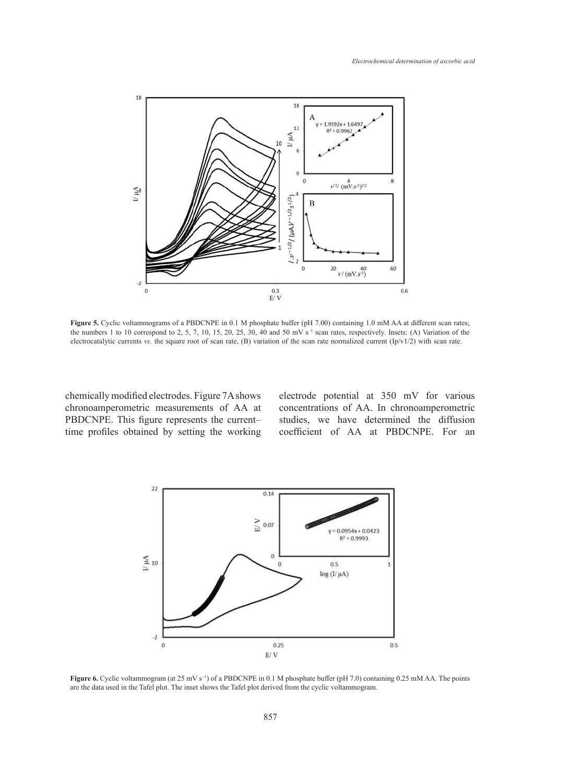

the numbers 1 to 10 correspond to 2, 5, 7, 10, 15, 20, 25, 30, 40 and 50 mV s<sup>-1</sup> scan rates, respectively. Insets: (A) Variation of the electrocatalytic currents vs. the square root of scan rate,  $(B)$  variation of the scan rate normalized current  $(Ip/v1/2)$  with scan rate. Figure 5. Cyclic voltammograms of a PBDCNPE in 0.1 M phosphate buffer (pH 7.00) containing 1.0 mM AA at different scan rates;

chemically modified electrodes. Figure 7A shows chronoamperometric measurements of AA at PBDCNPE. This figure represents the current– time profiles obtained by setting the working

electrode potential at 350 mV for various concentrations of AA. In chronoamperometric studies, we have determined the diffusion coefficient of AA at PBDCNPE. For an



**Figure 6.** Cyclic voltammogram (at 25 mV  $s^{-1}$ ) of a PBDCNPE in 0.1 M phosphate buffer (pH 7.0) containing 0.25 mM AA. The points are the data used in the Tofel plot. The inset shows the Tofel plot derived from the avel are the data used in the Tafel plot. The inset shows the Tafel plot derived from the cyclic voltammogram.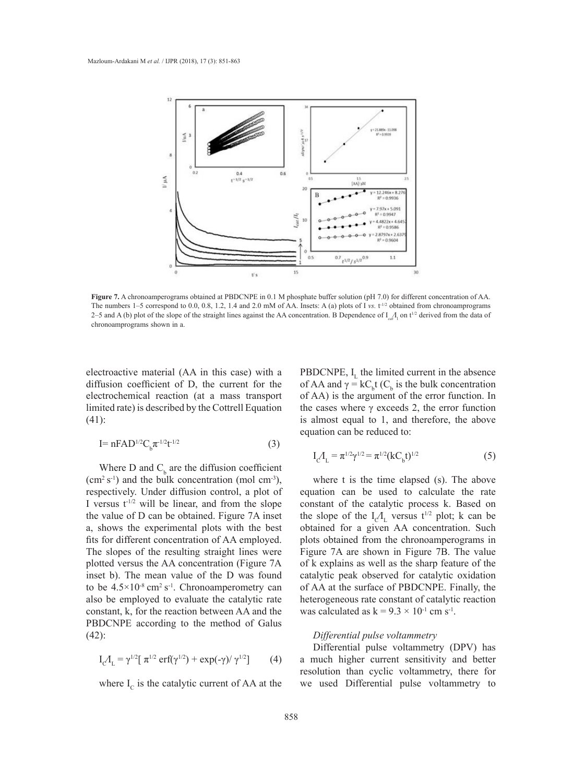

**Figure 7.** A chronoamperograms obtained at PBDCNPE in 0.1 M phosphate buffer solution (pH 7.0) for different concentration of AA. **Example 1.** A chronoamperograms obtained at FBDCNFE in 0.1 M phosphate burier solution (pH 1.0) for different concentration of AA.<br>The numbers 1–5 correspond to 0.0, 0.8, 1.2, 1.4 and 2.0 mM of AA. Insets: A (a) plots of 2–5 and A (b) plot of the slope of the straight lines against the AA concentration. B Dependence of  $I_{ca}I_1$  on t<sup>1/2</sup> derived from the data of chronoamprograms shown in a.

electroactive material (AA in this case) with a diffusion coefficient of D, the current for the electrochemical reaction (at a mass transport limited rate) is described by the Cottrell Equation (41): chronoamprograms shown in a.

$$
I = nFAD^{1/2}C_b\pi^{-1/2}t^{-1/2}
$$
 (3)

Where D and  $C_b$  are the diffusion coefficient  $(cm<sup>2</sup> s<sup>-1</sup>)$  and the bulk concentration (mol cm<sup>-3</sup>), where t is the time elapsed (s). The abov respectively. Under diffusion control, a plot of I versus  $t^{1/2}$  will be linear, and from the slope constant of the catalytic process k. Based c the value of D can be obtained. Figure 7A inset a, shows the experimental plots with the best fits for different concentration of AA employed. The slopes of the resulting straight lines were plotted versus the AA concentration (Figure 7A of k explains as well as the sharp feature of the substrate concentration. The state of the substrate concentration. The state concentration of the state concentration. The st inset b). The mean value of the D was found to be  $4.5 \times 10^{-8}$  cm<sup>2</sup> s<sup>-1</sup>. Chronoamperometry can also be employed to evaluate the catalytic rate constant, k, for the reaction between AA and the PBDCNPE according to the method of Galus (42):

$$
I_{C_1} I_{L} = \gamma^{1/2} [\pi^{1/2} \operatorname{erf}(\gamma^{1/2}) + \exp(-\gamma)/\gamma^{1/2}] \tag{4}
$$

where  $I_c$  is the catalytic current of AA at the

PBDCNPE,  $I_{I}$  the limited current in the absence of AA and  $\gamma = kC_b t$  (C<sub>b</sub> is the bulk concentration of AA) is the argument of the error function. In the cases where  $γ$  exceeds 2, the error function is almost equal to 1, and therefore, the above equation can be reduced to:

$$
I_{C_1} I_{L} = \pi^{1/2} \gamma^{1/2} = \pi^{1/2} (kC_b t)^{1/2}
$$
 (5)

where t is the time elapsed (s). The above equation can be used to calculate the rate constant of the catalytic process k. Based on value of D can be obtained. Figure 7A inset the slope of the  $I_c/I_c$  versus  $t^{1/2}$  plot; k can be obtained for a given AA concentration. Such for different concentration of AA employed. plots obtained from the chronoamperograms in e slopes of the resulting straight lines were Figure 7A are shown in Figure 7B. The value of k explains as well as the sharp feature of the catalytic peak observed for catalytic oxidation be  $4.5 \times 10^{-8}$  cm<sup>2</sup> s<sup>-1</sup>. Chronoamperometry can of AA at the surface of PBDCNPE. Finally, the be employed to evaluate the catalytic rate heterogeneous rate constant of catalytic reaction was calculated as  $k = 9.3 \times 10^{-1}$  cm s<sup>-1</sup>.

## *Differential pulse voltammetry*

Differential pulse voltammetry (DPV) has a much higher current sensitivity and better resolution than cyclic voltammetry, there for we used Differential pulse voltammetry to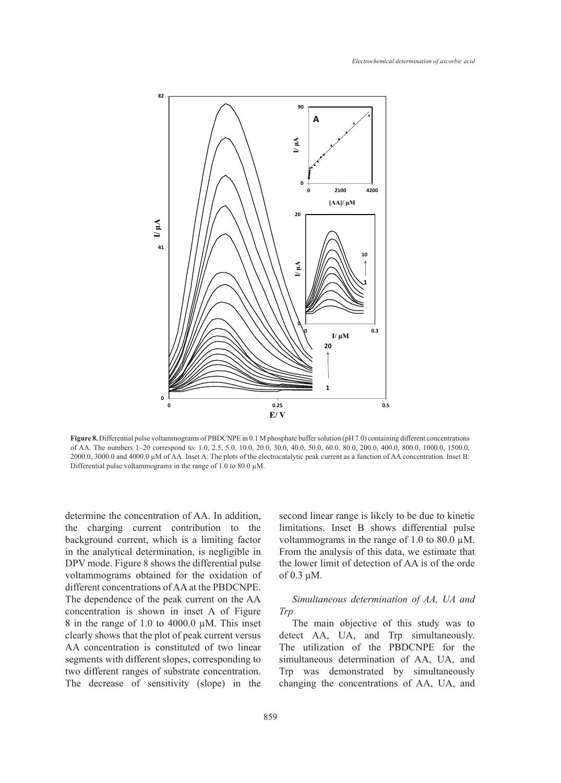

**rigure 8.** Differential pulse volummograms of PBDCNPE in 0.1 M phosphate buffer solution (pH 7.0) containing different concentrations of AA. The numbers 1–20 correspond to: 1.0, 2.5, 5.0, 10.0, 20.0, 30.0, 40.0, 50.0, 60. 2000.0, 3000.0 and 4000.0 μM of AA. Inset A: The plots of the electrocatalytic peak current as a function of AA concentration. Inset B: Differential pulse voltammograms in the range of 1.0 to 80.0  $\mu$ M. **Figure 8.** Differential pulse voltammograms of PBDCNPE in 0.1 M phosphate buffer solution (pH 7.0) containing different concentrations

determine the concentration of AA. In addition, the charging current contribution to the background current, which is a limiting factor in the analytical determination, is negligible in DPV mode. Figure 8 shows the differential pulse voltammograms obtained for the oxidation of different concentrations of AA at the PBDCNPE. The dependence of the peak current on the AA concentration is shown in inset A of Figure 8 in the range of 1.0 to 4000.0 µM. This inset clearly shows that the plot of peak current versus AA concentration is constituted of two linear segments with different slopes, corresponding to two different ranges of substrate concentration. The decrease of sensitivity (slope) in the second linear range is likely to be due to kinetic limitations. Inset B shows differential pulse voltammograms in the range of 1.0 to 80.0 µM. From the analysis of this data, we estimate that the lower limit of detection of AA is of the orde of 0.3 μM.

## *Simultaneous determination of AA, UA and Trp*

The main objective of this study was to detect AA, UA, and Trp simultaneously. The utilization of the PBDCNPE for the simultaneous determination of AA, UA, and Trp was demonstrated by simultaneously changing the concentrations of AA, UA, and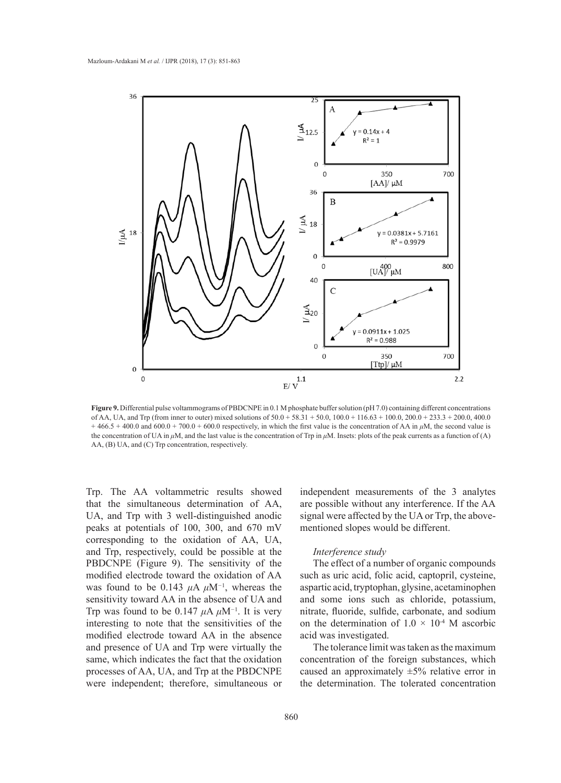

Figure 9. Differential pulse voltammograms of PBDCNPE in 0.1 M phosphate buffer solution (pH 7.0) containing different concentrations of AA, UA, and Trp (from inner to outer) mixed solutions of  $50.0 + 58.31 + 50.0$ ,  $100.0 + 116.63 + 100.0$ ,  $200.0 + 233.3 + 200.0$ ,  $400.0$ the concentration of UA in  $\mu$ M, and the last value is the concentration of Trp in  $\mu$ M. Insets: plots of the peak currents as a function of (A) AA, (B) UA, and (C) Trp concentration, respectively.  $+466.5 + 400.0$  and  $600.0 + 700.0 + 600.0$  respectively, in which the first value is the concentration of AA in  $\mu$ M, the second value is

Trp. The AA voltammetric results showed that the simultaneous determination of AA, UA, and Trp with 3 well-distinguished anodic peaks at potentials of 100, 300, and 670 mV mentioned slopes would be different. corresponding to the oxidation of AA, UA, and Trp, respectively, could be possible at the *Interference study* PBDCNPE (Figure 9). The sensitivity of the The effect of a number of organic compound modified electrode toward the oxidation of AA was found to be  $0.143 \mu A \mu M^{-1}$ , whereas the sensitivity toward AA in the absence of UA and Trp was found to be  $0.147 \mu A \mu M^{-1}$ . It is very interesting to note that the sensitivities of the modified electrode toward AA in the absence and presence of UA and Trp were virtually the same, which indicates the fact that the oxidation processes of AA, UA, and Trp at the PBDCNPE were independent; therefore, simultaneous or

independent measurements of the 3 analytes are possible without any interference. If the AA signal were affected by the UA or Trp, the abovementioned slopes would be different.

## *Interference study*

The effect of a number of organic compounds such as uric acid, folic acid, captopril, cysteine, aspartic acid, tryptophan, glysine, acetaminophen ity toward AA in the absence of UA and and some ions such as chloride, potassium, nitrate, fluoride, sulfide, carbonate, and sodium was found to be  $6.117 \mu$ A  $\mu$ m. The stery minute, mornee, same, carbonate, and sociality resting to note that the sensitivities of the on the determination of  $1.0 \times 10^{-4}$  M ascorbic acid was investigated.

> The tolerance limit was taken as the maximum concentration of the foreign substances, which caused an approximately  $\pm 5\%$  relative error in the determination. The tolerated concentration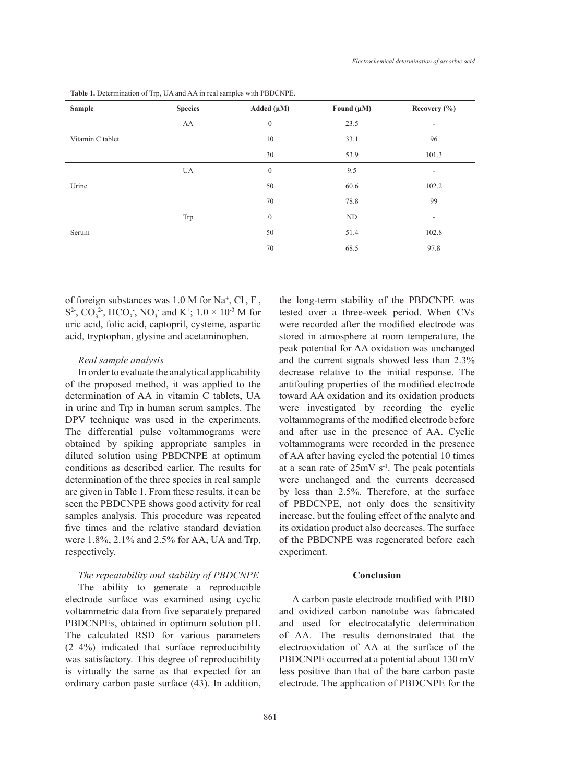| <b>Sample</b>    | <b>Species</b> | Added $(\mu M)$  | Found $(\mu M)$ | Recovery $(\% )$         |
|------------------|----------------|------------------|-----------------|--------------------------|
| Vitamin C tablet | AA             | $\boldsymbol{0}$ | 23.5            | $\overline{\phantom{a}}$ |
|                  |                | 10               | 33.1            | 96                       |
|                  |                | 30               | 53.9            | 101.3                    |
| Urine            | UA             | $\theta$         | 9.5             | $\overline{\phantom{a}}$ |
|                  |                | 50               | 60.6            | 102.2                    |
|                  |                | 70               | 78.8            | 99                       |
| Serum            | Trp            | $\boldsymbol{0}$ | ND              | ٠                        |
|                  |                | 50               | 51.4            | 102.8                    |
|                  |                | 70               | 68.5            | 97.8                     |

**Table 1.** Determination of Trp, UA and AA in real samples with PBDCNPE.

of foreign substances was  $1.0 M$  for Na<sup>+</sup>, Cl<sup>-</sup>, F<sup>-</sup>,  $S^2$ ,  $CO_3^2$ ,  $HCO_3$ ,  $NO_3$  and  $K^+$ ;  $1.0 \times 10^{3}$  M for uric acid, folic acid, captopril, cysteine, aspartic acid, tryptophan, glysine and acetaminophen.

### *Real sample analysis*

In order to evaluate the analytical applicability of the proposed method, it was applied to the determination of AA in vitamin C tablets, UA in urine and Trp in human serum samples. The DPV technique was used in the experiments. The differential pulse voltammograms were obtained by spiking appropriate samples in diluted solution using PBDCNPE at optimum conditions as described earlier. The results for determination of the three species in real sample are given in Table 1. From these results, it can be seen the PBDCNPE shows good activity for real samples analysis. This procedure was repeated five times and the relative standard deviation were 1.8%, 2.1% and 2.5% for AA, UA and Trp, respectively.

### *The repeatability and stability of PBDCNPE*

The ability to generate a reproducible electrode surface was examined using cyclic voltammetric data from five separately prepared PBDCNPEs, obtained in optimum solution pH. The calculated RSD for various parameters (2–4%) indicated that surface reproducibility was satisfactory. This degree of reproducibility is virtually the same as that expected for an ordinary carbon paste surface (43). In addition,

861

the long-term stability of the PBDCNPE was tested over a three-week period. When CVs were recorded after the modified electrode was stored in atmosphere at room temperature, the peak potential for AA oxidation was unchanged and the current signals showed less than 2.3% decrease relative to the initial response. The antifouling properties of the modified electrode toward AA oxidation and its oxidation products were investigated by recording the cyclic voltammograms of the modified electrode before and after use in the presence of AA. Cyclic voltammograms were recorded in the presence of AA after having cycled the potential 10 times at a scan rate of  $25mV s^{-1}$ . The peak potentials were unchanged and the currents decreased by less than 2.5%. Therefore, at the surface of PBDCNPE, not only does the sensitivity increase, but the fouling effect of the analyte and its oxidation product also decreases. The surface of the PBDCNPE was regenerated before each experiment.

## **Conclusion**

A carbon paste electrode modified with PBD and oxidized carbon nanotube was fabricated and used for electrocatalytic determination of AA. The results demonstrated that the electrooxidation of AA at the surface of the PBDCNPE occurred at a potential about 130 mV less positive than that of the bare carbon paste electrode. The application of PBDCNPE for the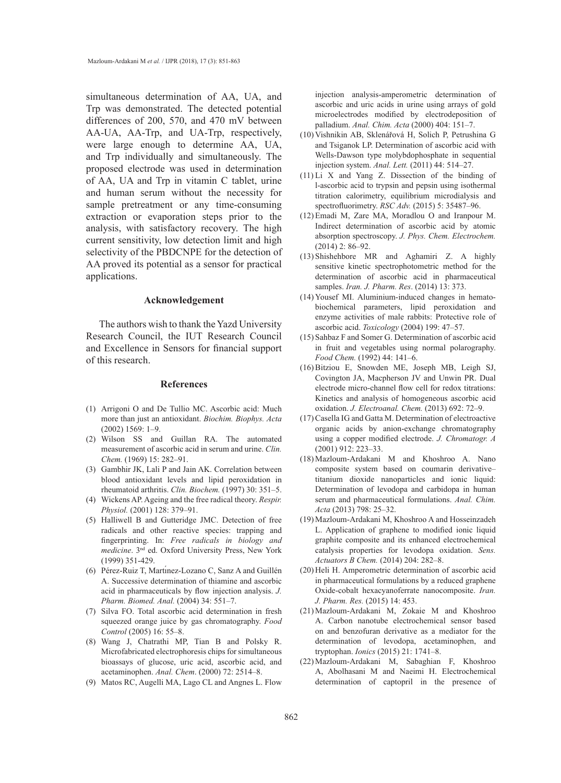simultaneous determination of AA, UA, and Trp was demonstrated. The detected potential differences of 200, 570, and 470 mV between AA-UA, AA-Trp, and UA-Trp, respectively, were large enough to determine AA, UA, and Trp individually and simultaneously. The proposed electrode was used in determination of AA, UA and Trp in vitamin C tablet, urine and human serum without the necessity for sample pretreatment or any time-consuming extraction or evaporation steps prior to the analysis, with satisfactory recovery. The high current sensitivity, low detection limit and high selectivity of the PBDCNPE for the detection of AA proved its potential as a sensor for practical applications.

#### **Acknowledgement**

The authors wish to thank the Yazd University Research Council, the IUT Research Council and Excellence in Sensors for financial support of this research.

#### **References**

- Arrigoni O and De Tullio MC. Ascorbic acid: Much (1) more than just an antioxidant. *Biochim. Biophys. Acta* (2002) 1569: 1–9.
- Wilson SS and Guillan RA. The automated (2) measurement of ascorbic acid in serum and urine. *Clin. Chem.* (1969) 15: 282–91.
- (3) Gambhir JK, Lali P and Jain AK. Correlation between blood antioxidant levels and lipid peroxidation in rheumatoid arthritis. *Clin. Biochem.* (1997) 30: 351–5.
- Wickens AP. Ageing and the free radical theory. *Respir.*  (4) *Physiol.* (2001) 128: 379–91.
- (5) Halliwell B and Gutteridge JMC. Detection of free radicals and other reactive species: trapping and fingerprinting. In: *Free radicals in biology and medicine*. 3nd ed. Oxford University Press, New York (1999) 351-429.
- Pérez-Ruiz T, Martı́nez-Lozano C, Sanz A and Guillén (6) A. Successive determination of thiamine and ascorbic acid in pharmaceuticals by flow injection analysis. *J. Pharm. Biomed. Anal.* (2004) 34: 551–7.
- (7) Silva FO. Total ascorbic acid determination in fresh squeezed orange juice by gas chromatography. *Food Control* (2005) 16: 55–8.
- Wang J, Chatrathi MP, Tian B and Polsky R. (8) Microfabricated electrophoresis chips for simultaneous bioassays of glucose, uric acid, ascorbic acid, and acetaminophen. *Anal. Chem*. (2000) 72: 2514–8.
- (9) Matos RC, Augelli MA, Lago CL and Angnes L. Flow

injection analysis-amperometric determination of ascorbic and uric acids in urine using arrays of gold microelectrodes modified by electrodeposition of palladium. *Anal. Chim. Acta* (2000) 404: 151–7.

- (10) Vishnikin AB, Sklenářová H, Solich P, Petrushina G and Tsiganok LP. Determination of ascorbic acid with Wells-Dawson type molybdophosphate in sequential injection system. *Anal. Lett.* (2011) 44: 514–27.
- $(11)$  Li X and Yang Z. Dissection of the binding of l-ascorbic acid to trypsin and pepsin using isothermal titration calorimetry, equilibrium microdialysis and spectrofluorimetry. *RSC Adv.* (2015) 5: 35487–96.
- $(12)$  Emadi M, Zare MA, Moradlou O and Iranpour M. Indirect determination of ascorbic acid by atomic absorption spectroscopy. *J. Phys. Chem. Electrochem.* (2014) 2: 86–92.
- Shishehbore MR and Aghamiri Z. A highly (13) sensitive kinetic spectrophotometric method for the determination of ascorbic acid in pharmaceutical samples. *Iran. J. Pharm. Res*. (2014) 13: 373.
- (14) Yousef MI. Aluminium-induced changes in hematobiochemical parameters, lipid peroxidation and enzyme activities of male rabbits: Protective role of ascorbic acid. *Toxicology* (2004) 199: 47–57.
- (15) Sahbaz F and Somer G. Determination of ascorbic acid in fruit and vegetables using normal polarography. *Food Chem.* (1992) 44: 141–6.
- (16) Bitziou E, Snowden ME, Joseph MB, Leigh SJ, Covington JA, Macpherson JV and Unwin PR. Dual electrode micro-channel flow cell for redox titrations: Kinetics and analysis of homogeneous ascorbic acid oxidation. *J. Electroanal. Chem.* (2013) 692: 72–9.
- $(17)$  Casella IG and Gatta M. Determination of electroactive organic acids by anion-exchange chromatography using a copper modified electrode. *J. Chromatogr. A* (2001) 912: 223–33.
- Mazloum-Ardakani M and Khoshroo A. Nano (18) composite system based on coumarin derivative– titanium dioxide nanoparticles and ionic liquid: Determination of levodopa and carbidopa in human serum and pharmaceutical formulations. *Anal. Chim. Acta* (2013) 798: 25–32.
- (19) Mazloum-Ardakani M, Khoshroo A and Hosseinzadeh L. Application of graphene to modified ionic liquid graphite composite and its enhanced electrochemical catalysis properties for levodopa oxidation. *Sens. Actuators B Chem.* (2014) 204: 282–8.
- (20) Heli H. Amperometric determination of ascorbic acid in pharmaceutical formulations by a reduced graphene Oxide-cobalt hexacyanoferrate nanocomposite. *Iran. J. Pharm. Res.* (2015) 14: 453.
- (21) Mazloum-Ardakani M, Zokaie M and Khoshroo A. Carbon nanotube electrochemical sensor based on and benzofuran derivative as a mediator for the determination of levodopa, acetaminophen, and tryptophan. *Ionics* (2015) 21: 1741–8.
- Mazloum-Ardakani M, Sabaghian F, Khoshroo (22)A, Abolhasani M and Naeimi H. Electrochemical determination of captopril in the presence of